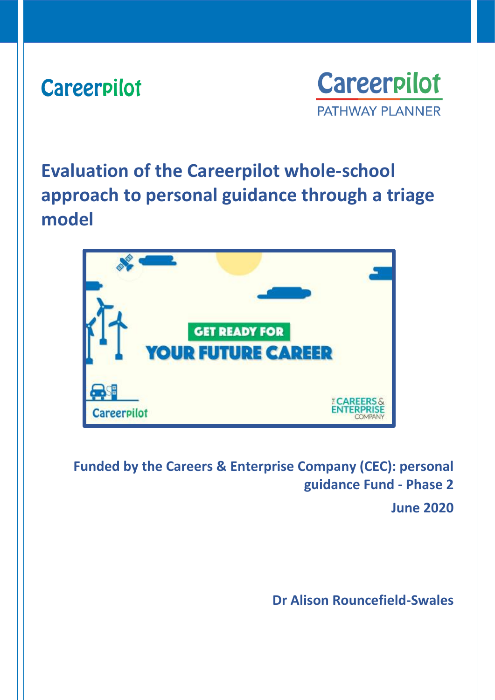# **Careerpilot**



**Evaluation of the Careerpilot whole-school approach to personal guidance through a triage model**



**Funded by the Careers & Enterprise Company (CEC): personal guidance Fund - Phase 2**

**June 2020**

**Dr Alison Rouncefield-Swales**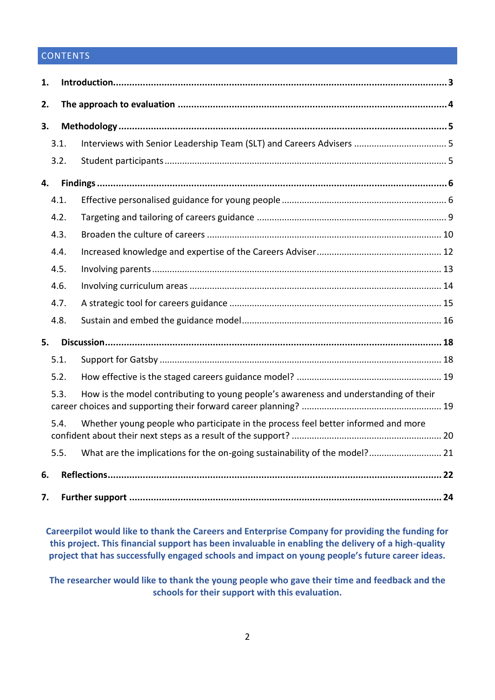# **CONTENTS**

| 1. |      |                                                                                      |  |  |  |
|----|------|--------------------------------------------------------------------------------------|--|--|--|
| 2. |      |                                                                                      |  |  |  |
| 3. |      |                                                                                      |  |  |  |
|    | 3.1. |                                                                                      |  |  |  |
|    | 3.2. |                                                                                      |  |  |  |
| 4. |      |                                                                                      |  |  |  |
|    | 4.1. |                                                                                      |  |  |  |
|    | 4.2. |                                                                                      |  |  |  |
|    | 4.3. |                                                                                      |  |  |  |
|    | 4.4. |                                                                                      |  |  |  |
|    | 4.5. |                                                                                      |  |  |  |
|    | 4.6. |                                                                                      |  |  |  |
|    | 4.7. |                                                                                      |  |  |  |
|    | 4.8. |                                                                                      |  |  |  |
| 5. |      |                                                                                      |  |  |  |
|    | 5.1. |                                                                                      |  |  |  |
|    | 5.2. |                                                                                      |  |  |  |
|    | 5.3. | How is the model contributing to young people's awareness and understanding of their |  |  |  |
|    | 5.4. | Whether young people who participate in the process feel better informed and more    |  |  |  |
|    | 5.5. | What are the implications for the on-going sustainability of the model? 21           |  |  |  |
| 6. |      |                                                                                      |  |  |  |
| 7. |      |                                                                                      |  |  |  |

**Careerpilot would like to thank the Careers and Enterprise Company for providing the funding for this project. This financial support has been invaluable in enabling the delivery of a high-quality project that has successfully engaged schools and impact on young people's future career ideas.** 

<span id="page-1-0"></span>**The researcher would like to thank the young people who gave their time and feedback and the schools for their support with this evaluation.**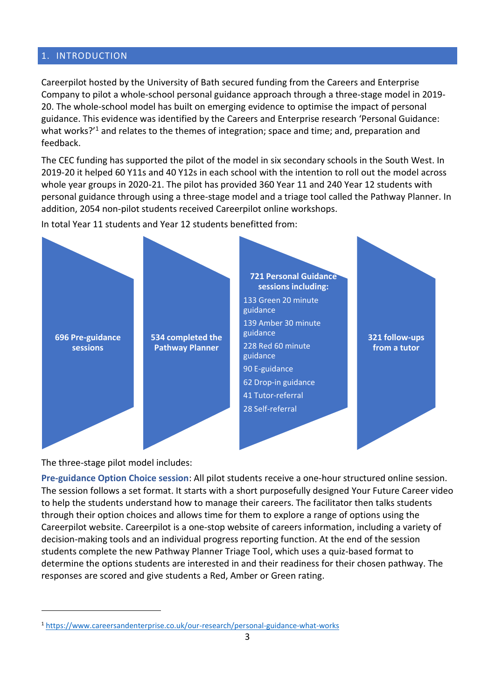#### 1. INTRODUCTION

Careerpilot hosted by the University of Bath secured funding from the Careers and Enterprise Company to pilot a whole-school personal guidance approach through a three-stage model in 2019- 20. The whole-school model has built on emerging evidence to optimise the impact of personal guidance. This evidence was identified by the Careers and Enterprise research 'Personal Guidance: what works?<sup>'1</sup> and relates to the themes of integration; space and time; and, preparation and feedback.

The CEC funding has supported the pilot of the model in six secondary schools in the South West. In 2019-20 it helped 60 Y11s and 40 Y12s in each school with the intention to roll out the model across whole year groups in 2020-21. The pilot has provided 360 Year 11 and 240 Year 12 students with personal guidance through using a three-stage model and a triage tool called the Pathway Planner. In addition, 2054 non-pilot students received Careerpilot online workshops.

In total Year 11 students and Year 12 students benefitted from:



The three-stage pilot model includes:

**Pre-guidance Option Choice session**: All pilot students receive a one-hour structured online session. The session follows a set format. It starts with a short purposefully designed Your Future Career video to help the students understand how to manage their careers. The facilitator then talks students through their option choices and allows time for them to explore a range of options using the Careerpilot website. Careerpilot is a one-stop website of careers information, including a variety of decision-making tools and an individual progress reporting function. At the end of the session students complete the new Pathway Planner Triage Tool, which uses a quiz-based format to determine the options students are interested in and their readiness for their chosen pathway. The responses are scored and give students a Red, Amber or Green rating.

<sup>1</sup> https://www.careersandenterprise.co.uk/our-research/personal-guidance-what-works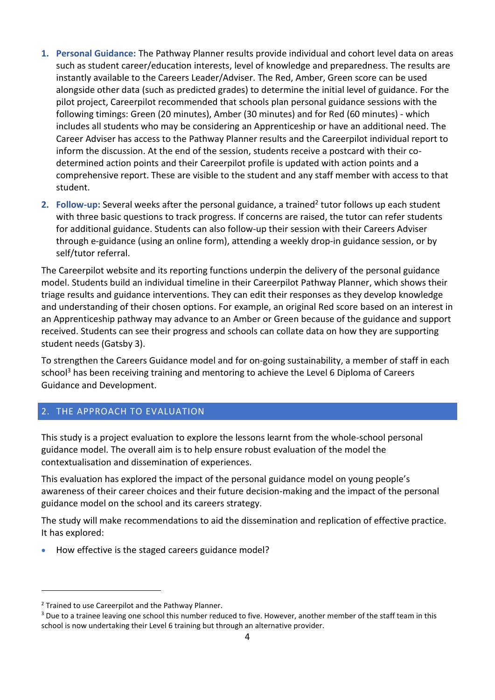- **1. Personal Guidance:** The Pathway Planner results provide individual and cohort level data on areas such as student career/education interests, level of knowledge and preparedness. The results are instantly available to the Careers Leader/Adviser. The Red, Amber, Green score can be used alongside other data (such as predicted grades) to determine the initial level of guidance. For the pilot project, Careerpilot recommended that schools plan personal guidance sessions with the following timings: Green (20 minutes), Amber (30 minutes) and for Red (60 minutes) - which includes all students who may be considering an Apprenticeship or have an additional need. The Career Adviser has access to the Pathway Planner results and the Careerpilot individual report to inform the discussion. At the end of the session, students receive a postcard with their codetermined action points and their Careerpilot profile is updated with action points and a comprehensive report. These are visible to the student and any staff member with access to that student.
- 2. Follow-up: Several weeks after the personal guidance, a trained<sup>2</sup> tutor follows up each student with three basic questions to track progress. If concerns are raised, the tutor can refer students for additional guidance. Students can also follow-up their session with their Careers Adviser through e-guidance (using an online form), attending a weekly drop-in guidance session, or by self/tutor referral.

The Careerpilot website and its reporting functions underpin the delivery of the personal guidance model. Students build an individual timeline in their Careerpilot Pathway Planner, which shows their triage results and guidance interventions. They can edit their responses as they develop knowledge and understanding of their chosen options. For example, an original Red score based on an interest in an Apprenticeship pathway may advance to an Amber or Green because of the guidance and support received. Students can see their progress and schools can collate data on how they are supporting student needs (Gatsby 3).

To strengthen the Careers Guidance model and for on-going sustainability, a member of staff in each school<sup>3</sup> has been receiving training and mentoring to achieve the Level 6 Diploma of Careers Guidance and Development.

# <span id="page-3-0"></span>2. THE APPROACH TO EVALUATION

This study is a project evaluation to explore the lessons learnt from the whole-school personal guidance model. The overall aim is to help ensure robust evaluation of the model the contextualisation and dissemination of experiences.

This evaluation has explored the impact of the personal guidance model on young people's awareness of their career choices and their future decision-making and the impact of the personal guidance model on the school and its careers strategy.

The study will make recommendations to aid the dissemination and replication of effective practice. It has explored:

• How effective is the staged careers guidance model?

<sup>&</sup>lt;sup>2</sup> Trained to use Careerpilot and the Pathway Planner.

<sup>&</sup>lt;sup>3</sup> Due to a trainee leaving one school this number reduced to five. However, another member of the staff team in this school is now undertaking their Level 6 training but through an alternative provider.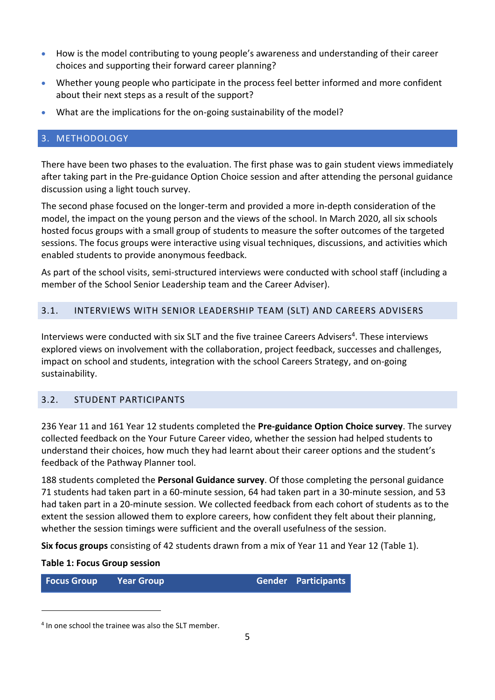- How is the model contributing to young people's awareness and understanding of their career choices and supporting their forward career planning?
- Whether young people who participate in the process feel better informed and more confident about their next steps as a result of the support?
- What are the implications for the on-going sustainability of the model?

# <span id="page-4-0"></span>3. METHODOLOGY

There have been two phases to the evaluation. The first phase was to gain student views immediately after taking part in the Pre-guidance Option Choice session and after attending the personal guidance discussion using a light touch survey.

The second phase focused on the longer-term and provided a more in-depth consideration of the model, the impact on the young person and the views of the school. In March 2020, all six schools hosted focus groups with a small group of students to measure the softer outcomes of the targeted sessions. The focus groups were interactive using visual techniques, discussions, and activities which enabled students to provide anonymous feedback.

As part of the school visits, semi-structured interviews were conducted with school staff (including a member of the School Senior Leadership team and the Career Adviser).

#### <span id="page-4-1"></span>3.1. INTERVIEWS WITH SENIOR LEADERSHIP TEAM (SLT) AND CAREERS ADVISERS

Interviews were conducted with six SLT and the five trainee Careers Advisers<sup>4</sup>. These interviews explored views on involvement with the collaboration, project feedback, successes and challenges, impact on school and students, integration with the school Careers Strategy, and on-going sustainability.

#### <span id="page-4-2"></span>3.2. STUDENT PARTICIPANTS

236 Year 11 and 161 Year 12 students completed the **Pre-guidance Option Choice survey**. The survey collected feedback on the Your Future Career video, whether the session had helped students to understand their choices, how much they had learnt about their career options and the student's feedback of the Pathway Planner tool.

188 students completed the **Personal Guidance survey**. Of those completing the personal guidance 71 students had taken part in a 60-minute session, 64 had taken part in a 30-minute session, and 53 had taken part in a 20-minute session. We collected feedback from each cohort of students as to the extent the session allowed them to explore careers, how confident they felt about their planning, whether the session timings were sufficient and the overall usefulness of the session.

**Six focus groups** consisting of 42 students drawn from a mix of Year 11 and Year 12 (Table 1).

#### **Table 1: Focus Group session**

**Focus Group Year Group Gender Participants**

<sup>&</sup>lt;sup>4</sup> In one school the trainee was also the SLT member.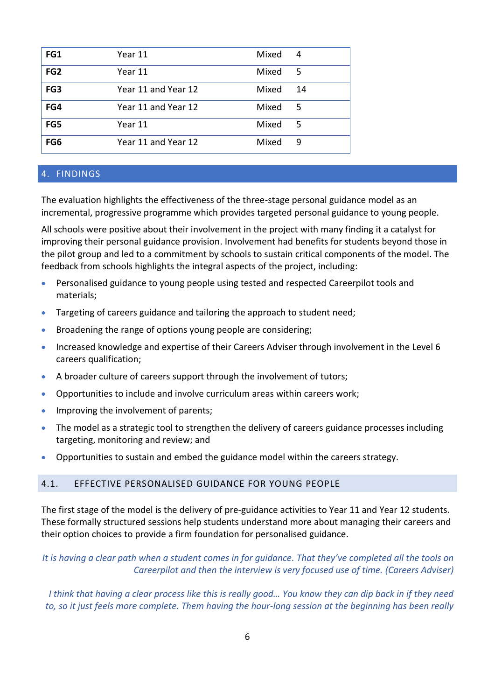| FG1             | Year 11             | Mixed | 4   |
|-----------------|---------------------|-------|-----|
| FG <sub>2</sub> | Year 11             | Mixed | - 5 |
| FG3             | Year 11 and Year 12 | Mixed | 14  |
| FG4             | Year 11 and Year 12 | Mixed | 5   |
| FG5             | Year 11             | Mixed | 5   |
| FG6             | Year 11 and Year 12 | Mixed | 9   |

#### <span id="page-5-0"></span>4. FINDINGS

The evaluation highlights the effectiveness of the three-stage personal guidance model as an incremental, progressive programme which provides targeted personal guidance to young people.

All schools were positive about their involvement in the project with many finding it a catalyst for improving their personal guidance provision. Involvement had benefits for students beyond those in the pilot group and led to a commitment by schools to sustain critical components of the model. The feedback from schools highlights the integral aspects of the project, including:

- Personalised guidance to young people using tested and respected Careerpilot tools and materials;
- Targeting of careers guidance and tailoring the approach to student need;
- Broadening the range of options young people are considering;
- Increased knowledge and expertise of their Careers Adviser through involvement in the Level 6 careers qualification;
- A broader culture of careers support through the involvement of tutors;
- Opportunities to include and involve curriculum areas within careers work;
- Improving the involvement of parents;
- The model as a strategic tool to strengthen the delivery of careers guidance processes including targeting, monitoring and review; and
- Opportunities to sustain and embed the guidance model within the careers strategy.

#### <span id="page-5-1"></span>4.1. EFFECTIVE PERSONALISED GUIDANCE FOR YOUNG PEOPLE

The first stage of the model is the delivery of pre-guidance activities to Year 11 and Year 12 students. These formally structured sessions help students understand more about managing their careers and their option choices to provide a firm foundation for personalised guidance.

## *It is having a clear path when a student comes in for guidance. That they've completed all the tools on Careerpilot and then the interview is very focused use of time. (Careers Adviser)*

*I think that having a clear process like this is really good… You know they can dip back in if they need to, so it just feels more complete. Them having the hour-long session at the beginning has been really*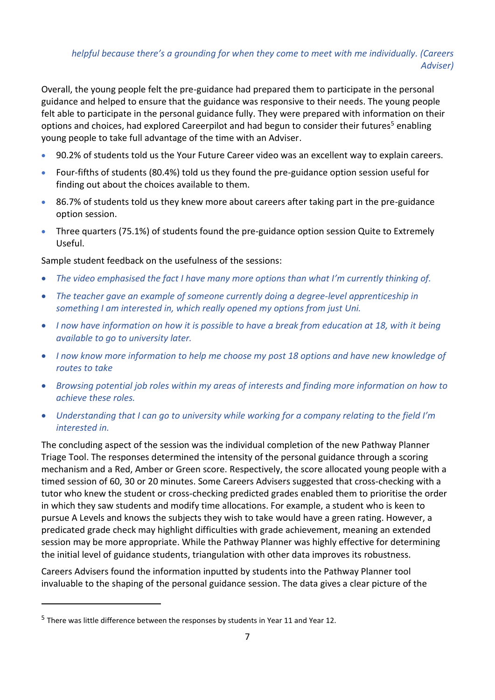# *helpful because there's a grounding for when they come to meet with me individually. (Careers Adviser)*

Overall, the young people felt the pre-guidance had prepared them to participate in the personal guidance and helped to ensure that the guidance was responsive to their needs. The young people felt able to participate in the personal guidance fully. They were prepared with information on their options and choices, had explored Careerpilot and had begun to consider their futures<sup>5</sup> enabling young people to take full advantage of the time with an Adviser.

- 90.2% of students told us the Your Future Career video was an excellent way to explain careers.
- Four-fifths of students (80.4%) told us they found the pre-guidance option session useful for finding out about the choices available to them.
- 86.7% of students told us they knew more about careers after taking part in the pre-guidance option session.
- Three quarters (75.1%) of students found the pre-guidance option session Quite to Extremely Useful.

Sample student feedback on the usefulness of the sessions:

- *The video emphasised the fact I have many more options than what I'm currently thinking of.*
- *The teacher gave an example of someone currently doing a degree-level apprenticeship in something I am interested in, which really opened my options from just Uni.*
- *I now have information on how it is possible to have a break from education at 18, with it being available to go to university later.*
- *I now know more information to help me choose my post 18 options and have new knowledge of routes to take*
- *Browsing potential job roles within my areas of interests and finding more information on how to achieve these roles.*
- *Understanding that I can go to university while working for a company relating to the field I'm interested in.*

The concluding aspect of the session was the individual completion of the new Pathway Planner Triage Tool. The responses determined the intensity of the personal guidance through a scoring mechanism and a Red, Amber or Green score. Respectively, the score allocated young people with a timed session of 60, 30 or 20 minutes. Some Careers Advisers suggested that cross-checking with a tutor who knew the student or cross-checking predicted grades enabled them to prioritise the order in which they saw students and modify time allocations. For example, a student who is keen to pursue A Levels and knows the subjects they wish to take would have a green rating. However, a predicated grade check may highlight difficulties with grade achievement, meaning an extended session may be more appropriate. While the Pathway Planner was highly effective for determining the initial level of guidance students, triangulation with other data improves its robustness.

Careers Advisers found the information inputted by students into the Pathway Planner tool invaluable to the shaping of the personal guidance session. The data gives a clear picture of the

<sup>&</sup>lt;sup>5</sup> There was little difference between the responses by students in Year 11 and Year 12.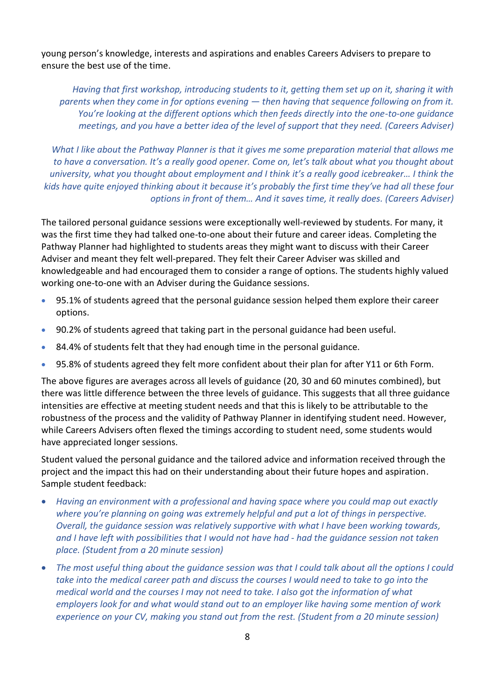young person's knowledge, interests and aspirations and enables Careers Advisers to prepare to ensure the best use of the time.

*Having that first workshop, introducing students to it, getting them set up on it, sharing it with parents when they come in for options evening — then having that sequence following on from it. You're looking at the different options which then feeds directly into the one-to-one guidance meetings, and you have a better idea of the level of support that they need. (Careers Adviser)*

*What I like about the Pathway Planner is that it gives me some preparation material that allows me to have a conversation. It's a really good opener. Come on, let's talk about what you thought about university, what you thought about employment and I think it's a really good icebreaker… I think the kids have quite enjoyed thinking about it because it's probably the first time they've had all these four options in front of them… And it saves time, it really does. (Careers Adviser)*

The tailored personal guidance sessions were exceptionally well-reviewed by students. For many, it was the first time they had talked one-to-one about their future and career ideas. Completing the Pathway Planner had highlighted to students areas they might want to discuss with their Career Adviser and meant they felt well-prepared. They felt their Career Adviser was skilled and knowledgeable and had encouraged them to consider a range of options. The students highly valued working one-to-one with an Adviser during the Guidance sessions.

- 95.1% of students agreed that the personal guidance session helped them explore their career options.
- 90.2% of students agreed that taking part in the personal guidance had been useful.
- 84.4% of students felt that they had enough time in the personal guidance.
- 95.8% of students agreed they felt more confident about their plan for after Y11 or 6th Form.

The above figures are averages across all levels of guidance (20, 30 and 60 minutes combined), but there was little difference between the three levels of guidance. This suggests that all three guidance intensities are effective at meeting student needs and that this is likely to be attributable to the robustness of the process and the validity of Pathway Planner in identifying student need. However, while Careers Advisers often flexed the timings according to student need, some students would have appreciated longer sessions.

Student valued the personal guidance and the tailored advice and information received through the project and the impact this had on their understanding about their future hopes and aspiration. Sample student feedback:

- *Having an environment with a professional and having space where you could map out exactly where you're planning on going was extremely helpful and put a lot of things in perspective. Overall, the guidance session was relatively supportive with what I have been working towards, and I have left with possibilities that I would not have had - had the guidance session not taken place. (Student from a 20 minute session)*
- *The most useful thing about the guidance session was that I could talk about all the options I could take into the medical career path and discuss the courses I would need to take to go into the medical world and the courses I may not need to take. I also got the information of what employers look for and what would stand out to an employer like having some mention of work experience on your CV, making you stand out from the rest. (Student from a 20 minute session)*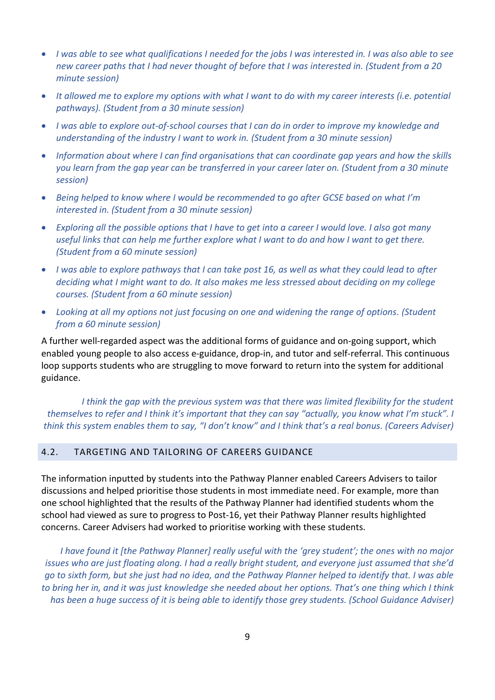- *I was able to see what qualifications I needed for the jobs I was interested in. I was also able to see new career paths that I had never thought of before that I was interested in. (Student from a 20 minute session)*
- *It allowed me to explore my options with what I want to do with my career interests (i.e. potential pathways). (Student from a 30 minute session)*
- *I was able to explore out-of-school courses that I can do in order to improve my knowledge and understanding of the industry I want to work in. (Student from a 30 minute session)*
- *Information about where I can find organisations that can coordinate gap years and how the skills you learn from the gap year can be transferred in your career later on. (Student from a 30 minute session)*
- *Being helped to know where I would be recommended to go after GCSE based on what I'm interested in. (Student from a 30 minute session)*
- *Exploring all the possible options that I have to get into a career I would love. I also got many useful links that can help me further explore what I want to do and how I want to get there. (Student from a 60 minute session)*
- *I was able to explore pathways that I can take post 16, as well as what they could lead to after deciding what I might want to do. It also makes me less stressed about deciding on my college courses. (Student from a 60 minute session)*
- *Looking at all my options not just focusing on one and widening the range of options. (Student from a 60 minute session)*

A further well-regarded aspect was the additional forms of guidance and on-going support, which enabled young people to also access e-guidance, drop-in, and tutor and self-referral. This continuous loop supports students who are struggling to move forward to return into the system for additional guidance.

*I think the gap with the previous system was that there was limited flexibility for the student themselves to refer and I think it's important that they can say "actually, you know what I'm stuck". I think this system enables them to say, "I don't know" and I think that's a real bonus. (Careers Adviser)*

### <span id="page-8-0"></span>4.2. TARGETING AND TAILORING OF CAREERS GUIDANCE

The information inputted by students into the Pathway Planner enabled Careers Advisers to tailor discussions and helped prioritise those students in most immediate need. For example, more than one school highlighted that the results of the Pathway Planner had identified students whom the school had viewed as sure to progress to Post-16, yet their Pathway Planner results highlighted concerns. Career Advisers had worked to prioritise working with these students.

*I have found it [the Pathway Planner] really useful with the 'grey student'; the ones with no major issues who are just floating along. I had a really bright student, and everyone just assumed that she'd go to sixth form, but she just had no idea, and the Pathway Planner helped to identify that. I was able*  to bring her in, and it was just knowledge she needed about her options. That's one thing which I think *has been a huge success of it is being able to identify those grey students. (School Guidance Adviser)*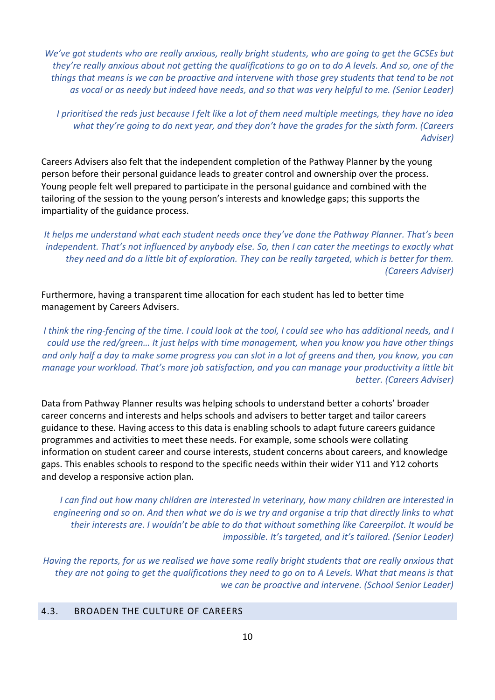*We've got students who are really anxious, really bright students, who are going to get the GCSEs but they're really anxious about not getting the qualifications to go on to do A levels. And so, one of the things that means is we can be proactive and intervene with those grey students that tend to be not as vocal or as needy but indeed have needs, and so that was very helpful to me. (Senior Leader)*

*I prioritised the reds just because I felt like a lot of them need multiple meetings, they have no idea what they're going to do next year, and they don't have the grades for the sixth form. (Careers Adviser)*

Careers Advisers also felt that the independent completion of the Pathway Planner by the young person before their personal guidance leads to greater control and ownership over the process. Young people felt well prepared to participate in the personal guidance and combined with the tailoring of the session to the young person's interests and knowledge gaps; this supports the impartiality of the guidance process.

*It helps me understand what each student needs once they've done the Pathway Planner. That's been independent. That's not influenced by anybody else. So, then I can cater the meetings to exactly what they need and do a little bit of exploration. They can be really targeted, which is better for them. (Careers Adviser)*

Furthermore, having a transparent time allocation for each student has led to better time management by Careers Advisers.

*I think the ring-fencing of the time. I could look at the tool, I could see who has additional needs, and I could use the red/green… It just helps with time management, when you know you have other things and only half a day to make some progress you can slot in a lot of greens and then, you know, you can manage your workload. That's more job satisfaction, and you can manage your productivity a little bit better. (Careers Adviser)*

Data from Pathway Planner results was helping schools to understand better a cohorts' broader career concerns and interests and helps schools and advisers to better target and tailor careers guidance to these. Having access to this data is enabling schools to adapt future careers guidance programmes and activities to meet these needs. For example, some schools were collating information on student career and course interests, student concerns about careers, and knowledge gaps. This enables schools to respond to the specific needs within their wider Y11 and Y12 cohorts and develop a responsive action plan.

*I can find out how many children are interested in veterinary, how many children are interested in engineering and so on. And then what we do is we try and organise a trip that directly links to what their interests are. I wouldn't be able to do that without something like Careerpilot. It would be impossible. It's targeted, and it's tailored. (Senior Leader)*

*Having the reports, for us we realised we have some really bright students that are really anxious that they are not going to get the qualifications they need to go on to A Levels. What that means is that we can be proactive and intervene. (School Senior Leader)*

#### <span id="page-9-0"></span>4.3. BROADEN THE CULTURE OF CAREERS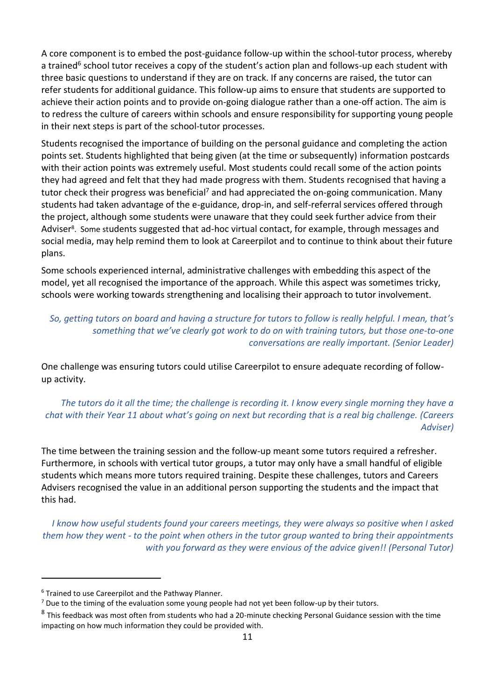A core component is to embed the post-guidance follow-up within the school-tutor process, whereby a trained<sup>6</sup> school tutor receives a copy of the student's action plan and follows-up each student with three basic questions to understand if they are on track. If any concerns are raised, the tutor can refer students for additional guidance. This follow-up aims to ensure that students are supported to achieve their action points and to provide on-going dialogue rather than a one-off action. The aim is to redress the culture of careers within schools and ensure responsibility for supporting young people in their next steps is part of the school-tutor processes.

Students recognised the importance of building on the personal guidance and completing the action points set. Students highlighted that being given (at the time or subsequently) information postcards with their action points was extremely useful. Most students could recall some of the action points they had agreed and felt that they had made progress with them. Students recognised that having a tutor check their progress was beneficial<sup>7</sup> and had appreciated the on-going communication. Many students had taken advantage of the e-guidance, drop-in, and self-referral services offered through the project, although some students were unaware that they could seek further advice from their Adviser<sup>8</sup>. Some students suggested that ad-hoc virtual contact, for example, through messages and social media, may help remind them to look at Careerpilot and to continue to think about their future plans.

Some schools experienced internal, administrative challenges with embedding this aspect of the model, yet all recognised the importance of the approach. While this aspect was sometimes tricky, schools were working towards strengthening and localising their approach to tutor involvement.

# *So, getting tutors on board and having a structure for tutors to follow is really helpful. I mean, that's something that we've clearly got work to do on with training tutors, but those one-to-one conversations are really important. (Senior Leader)*

One challenge was ensuring tutors could utilise Careerpilot to ensure adequate recording of followup activity.

*The tutors do it all the time; the challenge is recording it. I know every single morning they have a chat with their Year 11 about what's going on next but recording that is a real big challenge. (Careers Adviser)*

The time between the training session and the follow-up meant some tutors required a refresher. Furthermore, in schools with vertical tutor groups, a tutor may only have a small handful of eligible students which means more tutors required training. Despite these challenges, tutors and Careers Advisers recognised the value in an additional person supporting the students and the impact that this had.

*I know how useful students found your careers meetings, they were always so positive when I asked them how they went - to the point when others in the tutor group wanted to bring their appointments with you forward as they were envious of the advice given!! (Personal Tutor)*

<sup>6</sup> Trained to use Careerpilot and the Pathway Planner.

 $7$  Due to the timing of the evaluation some young people had not yet been follow-up by their tutors.

 $^8$  This feedback was most often from students who had a 20-minute checking Personal Guidance session with the time impacting on how much information they could be provided with.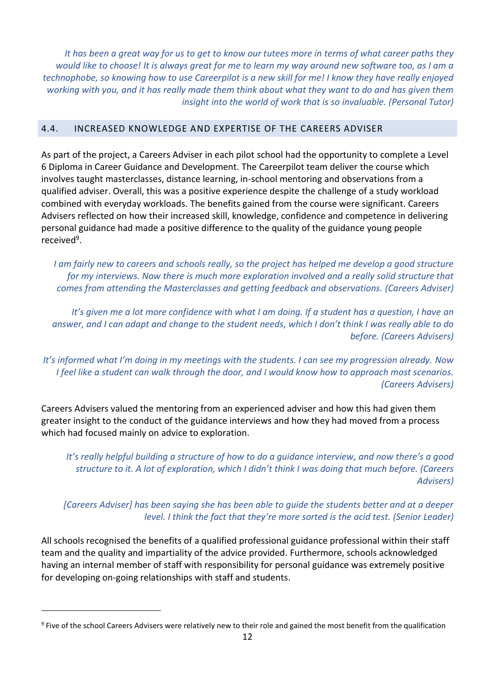*It has been a great way for us to get to know our tutees more in terms of what career paths they would like to choose! It is always great for me to learn my way around new software too, as I am a technophobe, so knowing how to use Careerpilot is a new skill for me! I know they have really enjoyed working with you, and it has really made them think about what they want to do and has given them insight into the world of work that is so invaluable. (Personal Tutor)*

#### <span id="page-11-0"></span>4.4. INCREASED KNOWLEDGE AND EXPERTISE OF THE CAREERS ADVISER

As part of the project, a Careers Adviser in each pilot school had the opportunity to complete a Level 6 Diploma in Career Guidance and Development. The Careerpilot team deliver the course which involves taught masterclasses, distance learning, in-school mentoring and observations from a qualified adviser. Overall, this was a positive experience despite the challenge of a study workload combined with everyday workloads. The benefits gained from the course were significant. Careers Advisers reflected on how their increased skill, knowledge, confidence and competence in delivering personal guidance had made a positive difference to the quality of the guidance young people received<sup>9</sup>.

*I am fairly new to careers and schools really, so the project has helped me develop a good structure for my interviews. Now there is much more exploration involved and a really solid structure that comes from attending the Masterclasses and getting feedback and observations. (Careers Adviser)*

*It's given me a lot more confidence with what I am doing. If a student has a question, I have an answer, and I can adapt and change to the student needs, which I don't think I was really able to do before. (Careers Advisers)*

*It's informed what I'm doing in my meetings with the students. I can see my progression already. Now I feel like a student can walk through the door, and I would know how to approach most scenarios. (Careers Advisers)*

Careers Advisers valued the mentoring from an experienced adviser and how this had given them greater insight to the conduct of the guidance interviews and how they had moved from a process which had focused mainly on advice to exploration.

*It's really helpful building a structure of how to do a guidance interview, and now there's a good structure to it. A lot of exploration, which I didn't think I was doing that much before. (Careers Advisers)*

*[Careers Adviser] has been saying she has been able to guide the students better and at a deeper level. I think the fact that they're more sorted is the acid test. (Senior Leader)*

All schools recognised the benefits of a qualified professional guidance professional within their staff team and the quality and impartiality of the advice provided. Furthermore, schools acknowledged having an internal member of staff with responsibility for personal guidance was extremely positive for developing on-going relationships with staff and students.

<sup>&</sup>lt;sup>9</sup> Five of the school Careers Advisers were relatively new to their role and gained the most benefit from the qualification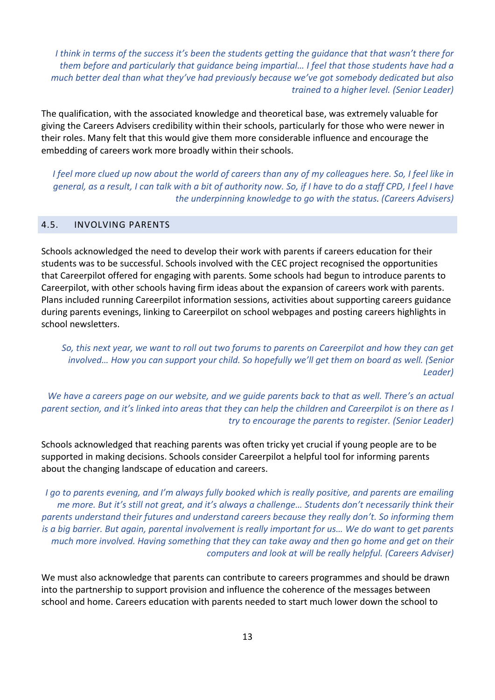*I think in terms of the success it's been the students getting the guidance that that wasn't there for them before and particularly that guidance being impartial… I feel that those students have had a much better deal than what they've had previously because we've got somebody dedicated but also trained to a higher level. (Senior Leader)*

The qualification, with the associated knowledge and theoretical base, was extremely valuable for giving the Careers Advisers credibility within their schools, particularly for those who were newer in their roles. Many felt that this would give them more considerable influence and encourage the embedding of careers work more broadly within their schools.

*I feel more clued up now about the world of careers than any of my colleagues here. So, I feel like in general, as a result, I can talk with a bit of authority now. So, if I have to do a staff CPD, I feel I have the underpinning knowledge to go with the status. (Careers Advisers)*

#### <span id="page-12-0"></span>4.5. INVOLVING PARENTS

Schools acknowledged the need to develop their work with parents if careers education for their students was to be successful. Schools involved with the CEC project recognised the opportunities that Careerpilot offered for engaging with parents. Some schools had begun to introduce parents to Careerpilot, with other schools having firm ideas about the expansion of careers work with parents. Plans included running Careerpilot information sessions, activities about supporting careers guidance during parents evenings, linking to Careerpilot on school webpages and posting careers highlights in school newsletters.

*So, this next year, we want to roll out two forums to parents on Careerpilot and how they can get involved… How you can support your child. So hopefully we'll get them on board as well. (Senior Leader)*

*We have a careers page on our website, and we guide parents back to that as well. There's an actual parent section, and it's linked into areas that they can help the children and Careerpilot is on there as I try to encourage the parents to register. (Senior Leader)*

Schools acknowledged that reaching parents was often tricky yet crucial if young people are to be supported in making decisions. Schools consider Careerpilot a helpful tool for informing parents about the changing landscape of education and careers.

*I go to parents evening, and I'm always fully booked which is really positive, and parents are emailing me more. But it's still not great, and it's always a challenge… Students don't necessarily think their parents understand their futures and understand careers because they really don't. So informing them is a big barrier. But again, parental involvement is really important for us… We do want to get parents much more involved. Having something that they can take away and then go home and get on their computers and look at will be really helpful. (Careers Adviser)*

We must also acknowledge that parents can contribute to careers programmes and should be drawn into the partnership to support provision and influence the coherence of the messages between school and home. Careers education with parents needed to start much lower down the school to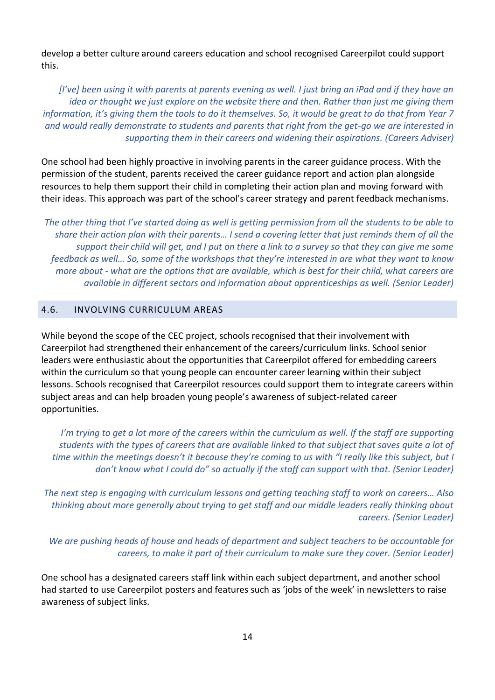develop a better culture around careers education and school recognised Careerpilot could support this.

*[I've] been using it with parents at parents evening as well. I just bring an iPad and if they have an idea or thought we just explore on the website there and then. Rather than just me giving them information, it's giving them the tools to do it themselves. So, it would be great to do that from Year 7 and would really demonstrate to students and parents that right from the get-go we are interested in supporting them in their careers and widening their aspirations. (Careers Adviser)*

One school had been highly proactive in involving parents in the career guidance process. With the permission of the student, parents received the career guidance report and action plan alongside resources to help them support their child in completing their action plan and moving forward with their ideas. This approach was part of the school's career strategy and parent feedback mechanisms.

*The other thing that I've started doing as well is getting permission from all the students to be able to share their action plan with their parents… I send a covering letter that just reminds them of all the support their child will get, and I put on there a link to a survey so that they can give me some feedback as well… So, some of the workshops that they're interested in are what they want to know more about - what are the options that are available, which is best for their child, what careers are available in different sectors and information about apprenticeships as well. (Senior Leader)*

#### <span id="page-13-0"></span>4.6. INVOLVING CURRICULUM AREAS

While beyond the scope of the CEC project, schools recognised that their involvement with Careerpilot had strengthened their enhancement of the careers/curriculum links. School senior leaders were enthusiastic about the opportunities that Careerpilot offered for embedding careers within the curriculum so that young people can encounter career learning within their subject lessons. Schools recognised that Careerpilot resources could support them to integrate careers within subject areas and can help broaden young people's awareness of subject-related career opportunities.

*I'm trying to get a lot more of the careers within the curriculum as well. If the staff are supporting students with the types of careers that are available linked to that subject that saves quite a lot of time within the meetings doesn't it because they're coming to us with "I really like this subject, but I don't know what I could do" so actually if the staff can support with that. (Senior Leader)*

*The next step is engaging with curriculum lessons and getting teaching staff to work on careers… Also thinking about more generally about trying to get staff and our middle leaders really thinking about careers. (Senior Leader)*

*We are pushing heads of house and heads of department and subject teachers to be accountable for careers, to make it part of their curriculum to make sure they cover. (Senior Leader)*

One school has a designated careers staff link within each subject department, and another school had started to use Careerpilot posters and features such as 'jobs of the week' in newsletters to raise awareness of subject links.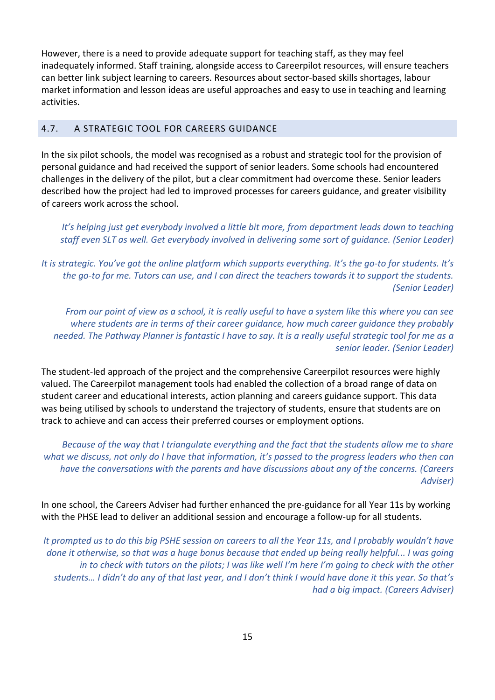However, there is a need to provide adequate support for teaching staff, as they may feel inadequately informed. Staff training, alongside access to Careerpilot resources, will ensure teachers can better link subject learning to careers. Resources about sector-based skills shortages, labour market information and lesson ideas are useful approaches and easy to use in teaching and learning activities.

#### <span id="page-14-0"></span>4.7. A STRATEGIC TOOL FOR CAREERS GUIDANCE

In the six pilot schools, the model was recognised as a robust and strategic tool for the provision of personal guidance and had received the support of senior leaders. Some schools had encountered challenges in the delivery of the pilot, but a clear commitment had overcome these. Senior leaders described how the project had led to improved processes for careers guidance, and greater visibility of careers work across the school.

*It's helping just get everybody involved a little bit more, from department leads down to teaching staff even SLT as well. Get everybody involved in delivering some sort of guidance. (Senior Leader)*

*It is strategic. You've got the online platform which supports everything. It's the go-to for students. It's the go-to for me. Tutors can use, and I can direct the teachers towards it to support the students. (Senior Leader)*

*From our point of view as a school, it is really useful to have a system like this where you can see where students are in terms of their career guidance, how much career guidance they probably needed. The Pathway Planner is fantastic I have to say. It is a really useful strategic tool for me as a senior leader. (Senior Leader)*

The student-led approach of the project and the comprehensive Careerpilot resources were highly valued. The Careerpilot management tools had enabled the collection of a broad range of data on student career and educational interests, action planning and careers guidance support. This data was being utilised by schools to understand the trajectory of students, ensure that students are on track to achieve and can access their preferred courses or employment options.

*Because of the way that I triangulate everything and the fact that the students allow me to share what we discuss, not only do I have that information, it's passed to the progress leaders who then can have the conversations with the parents and have discussions about any of the concerns. (Careers Adviser)*

In one school, the Careers Adviser had further enhanced the pre-guidance for all Year 11s by working with the PHSE lead to deliver an additional session and encourage a follow-up for all students.

*It prompted us to do this big PSHE session on careers to all the Year 11s, and I probably wouldn't have done it otherwise, so that was a huge bonus because that ended up being really helpful... I was going in to check with tutors on the pilots; I was like well I'm here I'm going to check with the other students… I didn't do any of that last year, and I don't think I would have done it this year. So that's had a big impact. (Careers Adviser)*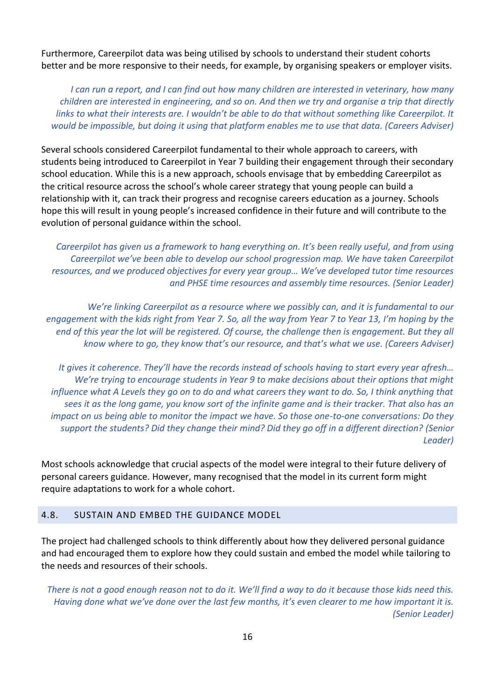Furthermore, Careerpilot data was being utilised by schools to understand their student cohorts better and be more responsive to their needs, for example, by organising speakers or employer visits.

*I can run a report, and I can find out how many children are interested in veterinary, how many children are interested in engineering, and so on. And then we try and organise a trip that directly links to what their interests are. I wouldn't be able to do that without something like Careerpilot. It would be impossible, but doing it using that platform enables me to use that data. (Careers Adviser)*

Several schools considered Careerpilot fundamental to their whole approach to careers, with students being introduced to Careerpilot in Year 7 building their engagement through their secondary school education. While this is a new approach, schools envisage that by embedding Careerpilot as the critical resource across the school's whole career strategy that young people can build a relationship with it, can track their progress and recognise careers education as a journey. Schools hope this will result in young people's increased confidence in their future and will contribute to the evolution of personal guidance within the school.

*Careerpilot has given us a framework to hang everything on. It's been really useful, and from using Careerpilot we've been able to develop our school progression map. We have taken Careerpilot resources, and we produced objectives for every year group… We've developed tutor time resources and PHSE time resources and assembly time resources. (Senior Leader)*

*We're linking Careerpilot as a resource where we possibly can, and it is fundamental to our engagement with the kids right from Year 7. So, all the way from Year 7 to Year 13, I'm hoping by the end of this year the lot will be registered. Of course, the challenge then is engagement. But they all know where to go, they know that's our resource, and that's what we use. (Careers Adviser)*

*It gives it coherence. They'll have the records instead of schools having to start every year afresh… We're trying to encourage students in Year 9 to make decisions about their options that might influence what A Levels they go on to do and what careers they want to do. So, I think anything that sees it as the long game, you know sort of the infinite game and is their tracker. That also has an impact on us being able to monitor the impact we have. So those one-to-one conversations: Do they support the students? Did they change their mind? Did they go off in a different direction? (Senior Leader)*

Most schools acknowledge that crucial aspects of the model were integral to their future delivery of personal careers guidance. However, many recognised that the model in its current form might require adaptations to work for a whole cohort.

#### <span id="page-15-0"></span>4.8. SUSTAIN AND EMBED THE GUIDANCE MODEL

The project had challenged schools to think differently about how they delivered personal guidance and had encouraged them to explore how they could sustain and embed the model while tailoring to the needs and resources of their schools.

*There is not a good enough reason not to do it. We'll find a way to do it because those kids need this. Having done what we've done over the last few months, it's even clearer to me how important it is. (Senior Leader)*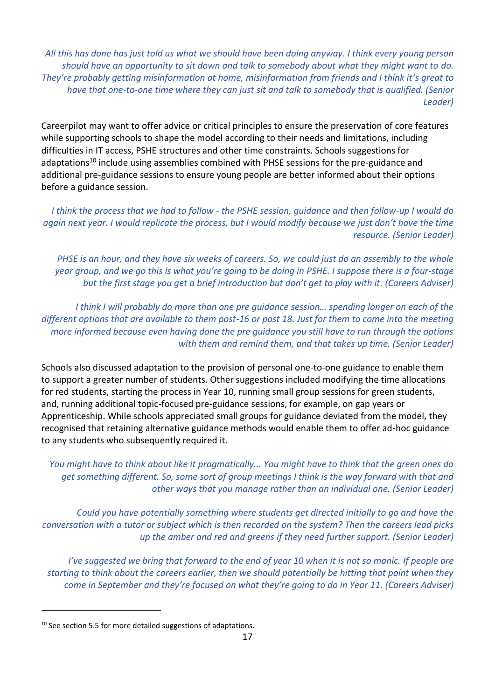*All this has done has just told us what we should have been doing anyway. I think every young person should have an opportunity to sit down and talk to somebody about what they might want to do. They're probably getting misinformation at home, misinformation from friends and I think it's great to have that one-to-one time where they can just sit and talk to somebody that is qualified. (Senior Leader)*

Careerpilot may want to offer advice or critical principles to ensure the preservation of core features while supporting schools to shape the model according to their needs and limitations, including difficulties in IT access, PSHE structures and other time constraints. Schools suggestions for adaptations<sup>10</sup> include using assemblies combined with PHSE sessions for the pre-guidance and additional pre-guidance sessions to ensure young people are better informed about their options before a guidance session.

*I think the process that we had to follow - the PSHE session, guidance and then follow-up I would do again next year. I would replicate the process, but I would modify because we just don't have the time resource. (Senior Leader)*

*PHSE is an hour, and they have six weeks of careers. So, we could just do an assembly to the whole year group, and we go this is what you're going to be doing in PSHE. I suppose there is a four-stage but the first stage you get a brief introduction but don't get to play with it. (Careers Adviser)*

*I think I will probably do more than one pre guidance session… spending longer on each of the different options that are available to them post-16 or post 18. Just for them to come into the meeting more informed because even having done the pre guidance you still have to run through the options with them and remind them, and that takes up time. (Senior Leader)*

Schools also discussed adaptation to the provision of personal one-to-one guidance to enable them to support a greater number of students. Other suggestions included modifying the time allocations for red students, starting the process in Year 10, running small group sessions for green students, and, running additional topic-focused pre-guidance sessions, for example, on gap years or Apprenticeship. While schools appreciated small groups for guidance deviated from the model, they recognised that retaining alternative guidance methods would enable them to offer ad-hoc guidance to any students who subsequently required it.

*You might have to think about like it pragmatically... You might have to think that the green ones do get something different. So, some sort of group meetings I think is the way forward with that and other ways that you manage rather than an individual one. (Senior Leader)*

*Could you have potentially something where students get directed initially to go and have the conversation with a tutor or subject which is then recorded on the system? Then the careers lead picks up the amber and red and greens if they need further support. (Senior Leader)*

*I've suggested we bring that forward to the end of year 10 when it is not so manic. If people are starting to think about the careers earlier, then we should potentially be hitting that point when they come in September and they're focused on what they're going to do in Year 11. (Careers Adviser)*

 $10$  See section 5.5 for more detailed suggestions of adaptations.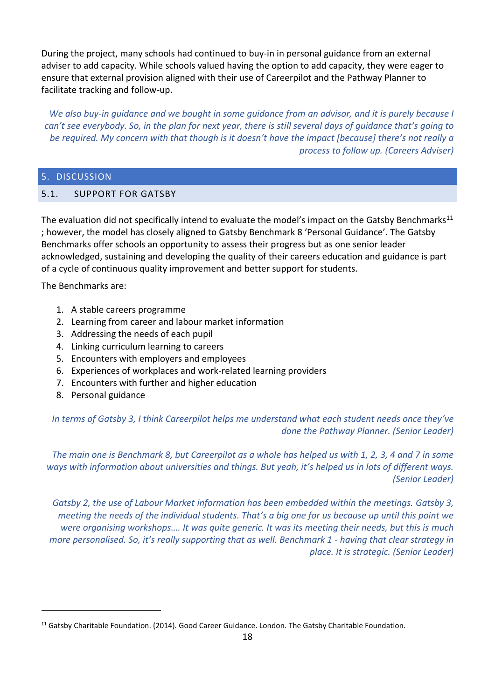During the project, many schools had continued to buy-in in personal guidance from an external adviser to add capacity. While schools valued having the option to add capacity, they were eager to ensure that external provision aligned with their use of Careerpilot and the Pathway Planner to facilitate tracking and follow-up.

*We also buy-in guidance and we bought in some guidance from an advisor, and it is purely because I can't see everybody. So, in the plan for next year, there is still several days of guidance that's going to be required. My concern with that though is it doesn't have the impact [because] there's not really a process to follow up. (Careers Adviser)*

#### <span id="page-17-0"></span>5. DISCUSSION

#### <span id="page-17-1"></span>5.1. SUPPORT FOR GATSBY

The evaluation did not specifically intend to evaluate the model's impact on the Gatsby Benchmarks<sup>11</sup> ; however, the model has closely aligned to Gatsby Benchmark 8 'Personal Guidance'. The Gatsby Benchmarks offer schools an opportunity to assess their progress but as one senior leader acknowledged, sustaining and developing the quality of their careers education and guidance is part of a cycle of continuous quality improvement and better support for students.

The Benchmarks are:

- 1. A stable careers programme
- 2. Learning from career and labour market information
- 3. Addressing the needs of each pupil
- 4. Linking curriculum learning to careers
- 5. Encounters with employers and employees
- 6. Experiences of workplaces and work-related learning providers
- 7. Encounters with further and higher education
- 8. Personal guidance

*In terms of Gatsby 3, I think Careerpilot helps me understand what each student needs once they've done the Pathway Planner. (Senior Leader)*

*The main one is Benchmark 8, but Careerpilot as a whole has helped us with 1, 2, 3, 4 and 7 in some ways with information about universities and things. But yeah, it's helped us in lots of different ways. (Senior Leader)*

*Gatsby 2, the use of Labour Market information has been embedded within the meetings. Gatsby 3, meeting the needs of the individual students. That's a big one for us because up until this point we were organising workshops…. It was quite generic. It was its meeting their needs, but this is much more personalised. So, it's really supporting that as well. Benchmark 1 - having that clear strategy in place. It is strategic. (Senior Leader)*

<sup>&</sup>lt;sup>11</sup> Gatsby Charitable Foundation. (2014). Good Career Guidance. London. The Gatsby Charitable Foundation.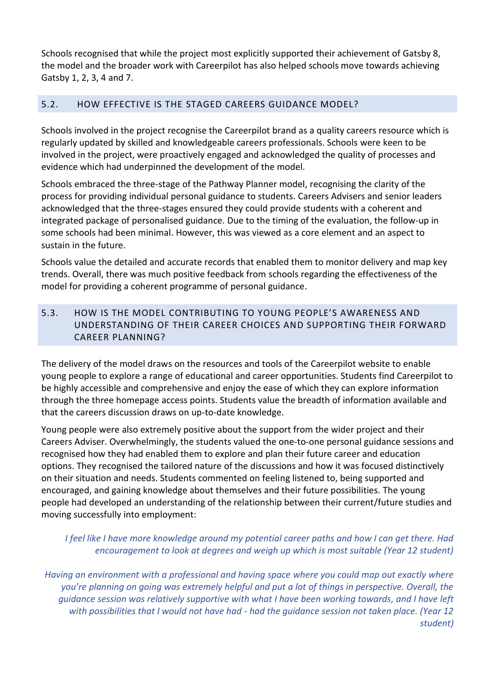Schools recognised that while the project most explicitly supported their achievement of Gatsby 8, the model and the broader work with Careerpilot has also helped schools move towards achieving Gatsby 1, 2, 3, 4 and 7.

# <span id="page-18-0"></span>5.2. HOW EFFECTIVE IS THE STAGED CAREERS GUIDANCE MODEL?

Schools involved in the project recognise the Careerpilot brand as a quality careers resource which is regularly updated by skilled and knowledgeable careers professionals. Schools were keen to be involved in the project, were proactively engaged and acknowledged the quality of processes and evidence which had underpinned the development of the model.

Schools embraced the three-stage of the Pathway Planner model, recognising the clarity of the process for providing individual personal guidance to students. Careers Advisers and senior leaders acknowledged that the three-stages ensured they could provide students with a coherent and integrated package of personalised guidance. Due to the timing of the evaluation, the follow-up in some schools had been minimal. However, this was viewed as a core element and an aspect to sustain in the future.

Schools value the detailed and accurate records that enabled them to monitor delivery and map key trends. Overall, there was much positive feedback from schools regarding the effectiveness of the model for providing a coherent programme of personal guidance.

# <span id="page-18-1"></span>5.3. HOW IS THE MODEL CONTRIBUTING TO YOUNG PEOPLE'S AWARENESS AND UNDERSTANDING OF THEIR CAREER CHOICES AND SUPPORTING THEIR FORWARD CAREER PLANNING?

The delivery of the model draws on the resources and tools of the Careerpilot website to enable young people to explore a range of educational and career opportunities. Students find Careerpilot to be highly accessible and comprehensive and enjoy the ease of which they can explore information through the three homepage access points. Students value the breadth of information available and that the careers discussion draws on up-to-date knowledge.

Young people were also extremely positive about the support from the wider project and their Careers Adviser. Overwhelmingly, the students valued the one-to-one personal guidance sessions and recognised how they had enabled them to explore and plan their future career and education options. They recognised the tailored nature of the discussions and how it was focused distinctively on their situation and needs. Students commented on feeling listened to, being supported and encouraged, and gaining knowledge about themselves and their future possibilities. The young people had developed an understanding of the relationship between their current/future studies and moving successfully into employment:

# *I feel like I have more knowledge around my potential career paths and how I can get there. Had encouragement to look at degrees and weigh up which is most suitable (Year 12 student)*

*Having an environment with a professional and having space where you could map out exactly where you're planning on going was extremely helpful and put a lot of things in perspective. Overall, the guidance session was relatively supportive with what I have been working towards, and I have left with possibilities that I would not have had - had the guidance session not taken place. (Year 12 student)*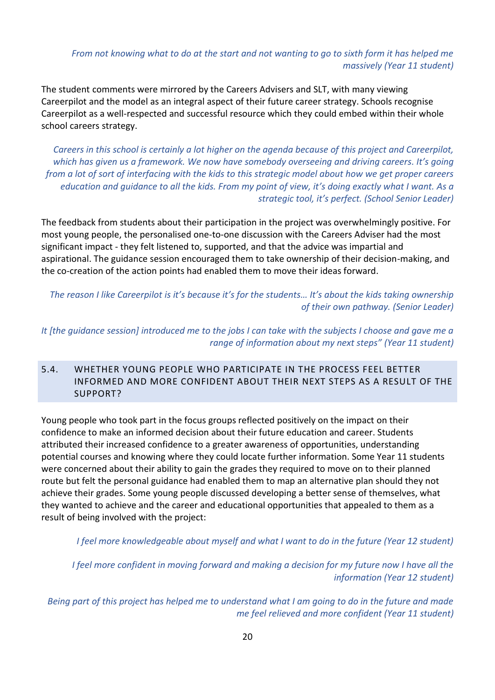*From not knowing what to do at the start and not wanting to go to sixth form it has helped me massively (Year 11 student)*

The student comments were mirrored by the Careers Advisers and SLT, with many viewing Careerpilot and the model as an integral aspect of their future career strategy. Schools recognise Careerpilot as a well-respected and successful resource which they could embed within their whole school careers strategy.

*Careers in this school is certainly a lot higher on the agenda because of this project and Careerpilot, which has given us a framework. We now have somebody overseeing and driving careers. It's going from a lot of sort of interfacing with the kids to this strategic model about how we get proper careers education and guidance to all the kids. From my point of view, it's doing exactly what I want. As a strategic tool, it's perfect. (School Senior Leader)*

The feedback from students about their participation in the project was overwhelmingly positive. For most young people, the personalised one-to-one discussion with the Careers Adviser had the most significant impact - they felt listened to, supported, and that the advice was impartial and aspirational. The guidance session encouraged them to take ownership of their decision-making, and the co-creation of the action points had enabled them to move their ideas forward.

*The reason I like Careerpilot is it's because it's for the students… It's about the kids taking ownership of their own pathway. (Senior Leader)*

*It [the guidance session] introduced me to the jobs I can take with the subjects I choose and gave me a range of information about my next steps" (Year 11 student)*

# <span id="page-19-0"></span>5.4. WHETHER YOUNG PEOPLE WHO PARTICIPATE IN THE PROCESS FEEL BETTER INFORMED AND MORE CONFIDENT ABOUT THEIR NEXT STEPS AS A RESULT OF THE SUPPORT?

Young people who took part in the focus groups reflected positively on the impact on their confidence to make an informed decision about their future education and career. Students attributed their increased confidence to a greater awareness of opportunities, understanding potential courses and knowing where they could locate further information. Some Year 11 students were concerned about their ability to gain the grades they required to move on to their planned route but felt the personal guidance had enabled them to map an alternative plan should they not achieve their grades. Some young people discussed developing a better sense of themselves, what they wanted to achieve and the career and educational opportunities that appealed to them as a result of being involved with the project:

*I feel more knowledgeable about myself and what I want to do in the future (Year 12 student)* 

*I feel more confident in moving forward and making a decision for my future now I have all the information (Year 12 student)*

*Being part of this project has helped me to understand what I am going to do in the future and made me feel relieved and more confident (Year 11 student)*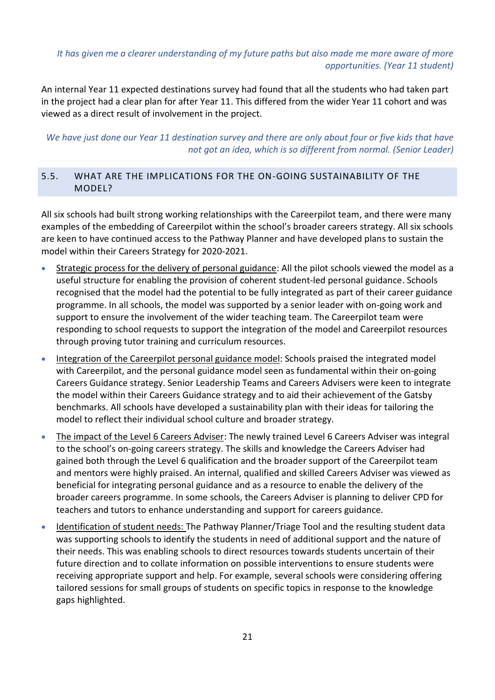# *It has given me a clearer understanding of my future paths but also made me more aware of more opportunities. (Year 11 student)*

An internal Year 11 expected destinations survey had found that all the students who had taken part in the project had a clear plan for after Year 11. This differed from the wider Year 11 cohort and was viewed as a direct result of involvement in the project.

*We have just done our Year 11 destination survey and there are only about four or five kids that have not got an idea, which is so different from normal. (Senior Leader)*

# <span id="page-20-0"></span>5.5. WHAT ARE THE IMPLICATIONS FOR THE ON-GOING SUSTAINABILITY OF THE MODEL?

All six schools had built strong working relationships with the Careerpilot team, and there were many examples of the embedding of Careerpilot within the school's broader careers strategy. All six schools are keen to have continued access to the Pathway Planner and have developed plans to sustain the model within their Careers Strategy for 2020-2021.

- Strategic process for the delivery of personal guidance: All the pilot schools viewed the model as a useful structure for enabling the provision of coherent student-led personal guidance. Schools recognised that the model had the potential to be fully integrated as part of their career guidance programme. In all schools, the model was supported by a senior leader with on-going work and support to ensure the involvement of the wider teaching team. The Careerpilot team were responding to school requests to support the integration of the model and Careerpilot resources through proving tutor training and curriculum resources.
- Integration of the Careerpilot personal guidance model: Schools praised the integrated model with Careerpilot, and the personal guidance model seen as fundamental within their on-going Careers Guidance strategy. Senior Leadership Teams and Careers Advisers were keen to integrate the model within their Careers Guidance strategy and to aid their achievement of the Gatsby benchmarks. All schools have developed a sustainability plan with their ideas for tailoring the model to reflect their individual school culture and broader strategy.
- The impact of the Level 6 Careers Adviser: The newly trained Level 6 Careers Adviser was integral to the school's on-going careers strategy. The skills and knowledge the Careers Adviser had gained both through the Level 6 qualification and the broader support of the Careerpilot team and mentors were highly praised. An internal, qualified and skilled Careers Adviser was viewed as beneficial for integrating personal guidance and as a resource to enable the delivery of the broader careers programme. In some schools, the Careers Adviser is planning to deliver CPD for teachers and tutors to enhance understanding and support for careers guidance.
- Identification of student needs: The Pathway Planner/Triage Tool and the resulting student data was supporting schools to identify the students in need of additional support and the nature of their needs. This was enabling schools to direct resources towards students uncertain of their future direction and to collate information on possible interventions to ensure students were receiving appropriate support and help. For example, several schools were considering offering tailored sessions for small groups of students on specific topics in response to the knowledge gaps highlighted.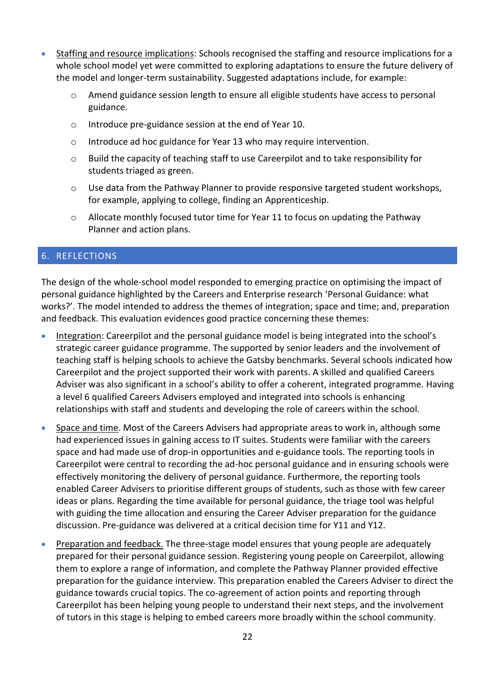- Staffing and resource implications: Schools recognised the staffing and resource implications for a whole school model yet were committed to exploring adaptations to ensure the future delivery of the model and longer-term sustainability. Suggested adaptations include, for example:
	- o Amend guidance session length to ensure all eligible students have access to personal guidance.
	- o Introduce pre-guidance session at the end of Year 10.
	- o Introduce ad hoc guidance for Year 13 who may require intervention.
	- o Build the capacity of teaching staff to use Careerpilot and to take responsibility for students triaged as green.
	- $\circ$  Use data from the Pathway Planner to provide responsive targeted student workshops, for example, applying to college, finding an Apprenticeship.
	- o Allocate monthly focused tutor time for Year 11 to focus on updating the Pathway Planner and action plans.

#### <span id="page-21-0"></span>6. REFLECTIONS

The design of the whole-school model responded to emerging practice on optimising the impact of personal guidance highlighted by the Careers and Enterprise research 'Personal Guidance: what works?'. The model intended to address the themes of integration; space and time; and, preparation and feedback. This evaluation evidences good practice concerning these themes:

- Integration: Careerpilot and the personal guidance model is being integrated into the school's strategic career guidance programme. The supported by senior leaders and the involvement of teaching staff is helping schools to achieve the Gatsby benchmarks. Several schools indicated how Careerpilot and the project supported their work with parents. A skilled and qualified Careers Adviser was also significant in a school's ability to offer a coherent, integrated programme. Having a level 6 qualified Careers Advisers employed and integrated into schools is enhancing relationships with staff and students and developing the role of careers within the school.
- Space and time. Most of the Careers Advisers had appropriate areas to work in, although some had experienced issues in gaining access to IT suites. Students were familiar with the careers space and had made use of drop-in opportunities and e-guidance tools. The reporting tools in Careerpilot were central to recording the ad-hoc personal guidance and in ensuring schools were effectively monitoring the delivery of personal guidance. Furthermore, the reporting tools enabled Career Advisers to prioritise different groups of students, such as those with few career ideas or plans. Regarding the time available for personal guidance, the triage tool was helpful with guiding the time allocation and ensuring the Career Adviser preparation for the guidance discussion. Pre-guidance was delivered at a critical decision time for Y11 and Y12.
- Preparation and feedback. The three-stage model ensures that young people are adequately prepared for their personal guidance session. Registering young people on Careerpilot, allowing them to explore a range of information, and complete the Pathway Planner provided effective preparation for the guidance interview. This preparation enabled the Careers Adviser to direct the guidance towards crucial topics. The co-agreement of action points and reporting through Careerpilot has been helping young people to understand their next steps, and the involvement of tutors in this stage is helping to embed careers more broadly within the school community.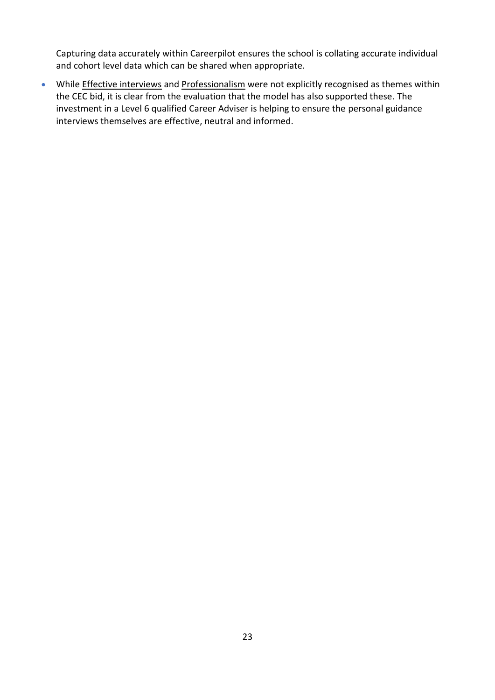Capturing data accurately within Careerpilot ensures the school is collating accurate individual and cohort level data which can be shared when appropriate.

• While *Effective interviews* and *Professionalism* were not explicitly recognised as themes within the CEC bid, it is clear from the evaluation that the model has also supported these. The investment in a Level 6 qualified Career Adviser is helping to ensure the personal guidance interviews themselves are effective, neutral and informed.